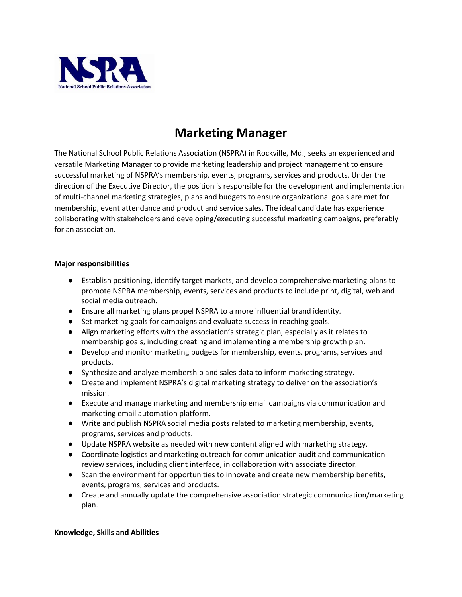

# **Marketing Manager**

The National School Public Relations Association (NSPRA) in Rockville, Md., seeks an experienced and versatile Marketing Manager to provide marketing leadership and project management to ensure successful marketing of NSPRA's membership, events, programs, services and products. Under the direction of the Executive Director, the position is responsible for the development and implementation of multi-channel marketing strategies, plans and budgets to ensure organizational goals are met for membership, event attendance and product and service sales. The ideal candidate has experience collaborating with stakeholders and developing/executing successful marketing campaigns, preferably for an association.

### **Major responsibilities**

- Establish positioning, identify target markets, and develop comprehensive marketing plans to promote NSPRA membership, events, services and products to include print, digital, web and social media outreach.
- Ensure all marketing plans propel NSPRA to a more influential brand identity.
- Set marketing goals for campaigns and evaluate success in reaching goals.
- Align marketing efforts with the association's strategic plan, especially as it relates to membership goals, including creating and implementing a membership growth plan.
- Develop and monitor marketing budgets for membership, events, programs, services and products.
- Synthesize and analyze membership and sales data to inform marketing strategy.
- Create and implement NSPRA's digital marketing strategy to deliver on the association's mission.
- Execute and manage marketing and membership email campaigns via communication and marketing email automation platform.
- Write and publish NSPRA social media posts related to marketing membership, events, programs, services and products.
- Update NSPRA website as needed with new content aligned with marketing strategy.
- Coordinate logistics and marketing outreach for communication audit and communication review services, including client interface, in collaboration with associate director.
- Scan the environment for opportunities to innovate and create new membership benefits, events, programs, services and products.
- Create and annually update the comprehensive association strategic communication/marketing plan.

### **Knowledge, Skills and Abilities**